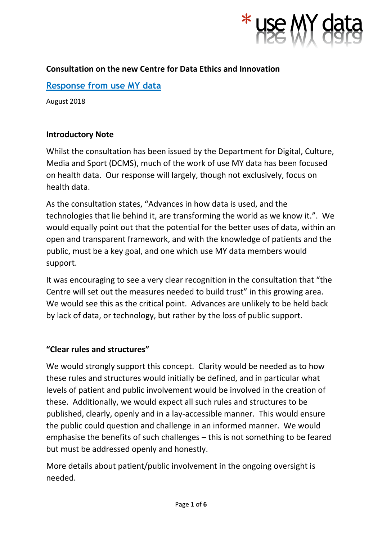

# **Consultation on the new Centre for Data Ethics and Innovation**

# **Response from use MY data**

August 2018

#### **Introductory Note**

Whilst the consultation has been issued by the Department for Digital, Culture, Media and Sport (DCMS), much of the work of use MY data has been focused on health data. Our response will largely, though not exclusively, focus on health data.

As the consultation states, "Advances in how data is used, and the technologies that lie behind it, are transforming the world as we know it.". We would equally point out that the potential for the better uses of data, within an open and transparent framework, and with the knowledge of patients and the public, must be a key goal, and one which use MY data members would support.

It was encouraging to see a very clear recognition in the consultation that "the Centre will set out the measures needed to build trust" in this growing area. We would see this as the critical point. Advances are unlikely to be held back by lack of data, or technology, but rather by the loss of public support.

### **"Clear rules and structures"**

We would strongly support this concept. Clarity would be needed as to how these rules and structures would initially be defined, and in particular what levels of patient and public involvement would be involved in the creation of these. Additionally, we would expect all such rules and structures to be published, clearly, openly and in a lay-accessible manner. This would ensure the public could question and challenge in an informed manner. We would emphasise the benefits of such challenges – this is not something to be feared but must be addressed openly and honestly.

More details about patient/public involvement in the ongoing oversight is needed.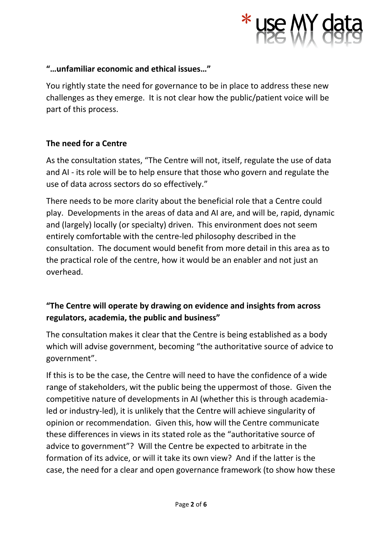

### **"…unfamiliar economic and ethical issues…"**

You rightly state the need for governance to be in place to address these new challenges as they emerge. It is not clear how the public/patient voice will be part of this process.

## **The need for a Centre**

As the consultation states, "The Centre will not, itself, regulate the use of data and AI - its role will be to help ensure that those who govern and regulate the use of data across sectors do so effectively."

There needs to be more clarity about the beneficial role that a Centre could play. Developments in the areas of data and AI are, and will be, rapid, dynamic and (largely) locally (or specialty) driven. This environment does not seem entirely comfortable with the centre-led philosophy described in the consultation. The document would benefit from more detail in this area as to the practical role of the centre, how it would be an enabler and not just an overhead.

# **"The Centre will operate by drawing on evidence and insights from across regulators, academia, the public and business"**

The consultation makes it clear that the Centre is being established as a body which will advise government, becoming "the authoritative source of advice to government".

If this is to be the case, the Centre will need to have the confidence of a wide range of stakeholders, wit the public being the uppermost of those. Given the competitive nature of developments in AI (whether this is through academialed or industry-led), it is unlikely that the Centre will achieve singularity of opinion or recommendation. Given this, how will the Centre communicate these differences in views in its stated role as the "authoritative source of advice to government"? Will the Centre be expected to arbitrate in the formation of its advice, or will it take its own view? And if the latter is the case, the need for a clear and open governance framework (to show how these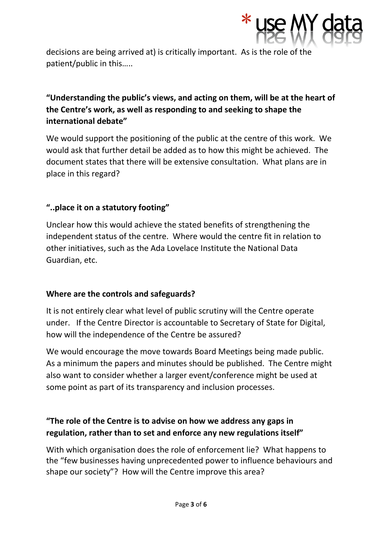

decisions are being arrived at) is critically important. As is the role of the patient/public in this…..

# **"Understanding the public's views, and acting on them, will be at the heart of the Centre's work, as well as responding to and seeking to shape the international debate"**

We would support the positioning of the public at the centre of this work. We would ask that further detail be added as to how this might be achieved. The document states that there will be extensive consultation. What plans are in place in this regard?

# **"..place it on a statutory footing"**

Unclear how this would achieve the stated benefits of strengthening the independent status of the centre. Where would the centre fit in relation to other initiatives, such as the Ada Lovelace Institute the National Data Guardian, etc.

### **Where are the controls and safeguards?**

It is not entirely clear what level of public scrutiny will the Centre operate under. If the Centre Director is accountable to Secretary of State for Digital, how will the independence of the Centre be assured?

We would encourage the move towards Board Meetings being made public. As a minimum the papers and minutes should be published. The Centre might also want to consider whether a larger event/conference might be used at some point as part of its transparency and inclusion processes.

# **"The role of the Centre is to advise on how we address any gaps in regulation, rather than to set and enforce any new regulations itself"**

With which organisation does the role of enforcement lie? What happens to the "few businesses having unprecedented power to influence behaviours and shape our society"? How will the Centre improve this area?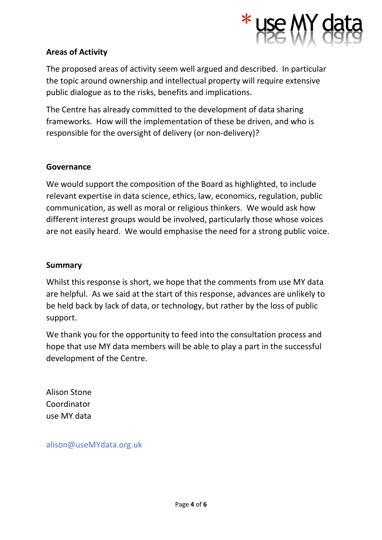

### **Areas of Activity**

The proposed areas of activity seem well argued and described. In particular the topic around ownership and intellectual property will require extensive public dialogue as to the risks, benefits and implications.

The Centre has already committed to the development of data sharing frameworks. How will the implementation of these be driven, and who is responsible for the oversight of delivery (or non-delivery)?

#### **Governance**

We would support the composition of the Board as highlighted, to include relevant expertise in data science, ethics, law, economics, regulation, public communication, as well as moral or religious thinkers. We would ask how different interest groups would be involved, particularly those whose voices are not easily heard. We would emphasise the need for a strong public voice.

#### **Summary**

Whilst this response is short, we hope that the comments from use MY data are helpful. As we said at the start of this response, advances are unlikely to be held back by lack of data, or technology, but rather by the loss of public support.

We thank you for the opportunity to feed into the consultation process and hope that use MY data members will be able to play a part in the successful development of the Centre.

Alison Stone Coordinator use MY data

alison@useMYdata.org.uk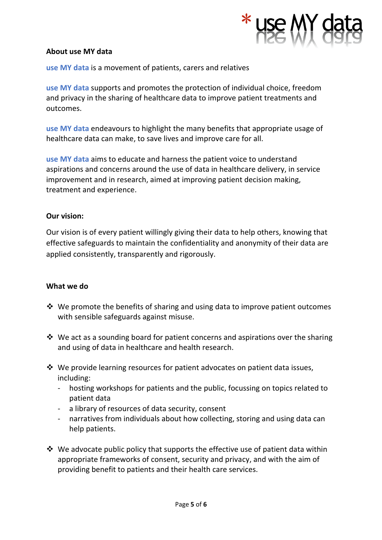

#### **About use MY data**

**use MY data** is a movement of patients, carers and relatives

**use MY data** supports and promotes the protection of individual choice, freedom and privacy in the sharing of healthcare data to improve patient treatments and outcomes.

**use MY data** endeavours to highlight the many benefits that appropriate usage of healthcare data can make, to save lives and improve care for all.

**use MY data** aims to educate and harness the patient voice to understand aspirations and concerns around the use of data in healthcare delivery, in service improvement and in research, aimed at improving patient decision making, treatment and experience.

#### **Our vision:**

Our vision is of every patient willingly giving their data to help others, knowing that effective safeguards to maintain the confidentiality and anonymity of their data are applied consistently, transparently and rigorously.

#### **What we do**

- ❖ We promote the benefits of sharing and using data to improve patient outcomes with sensible safeguards against misuse.
- ❖ We act as a sounding board for patient concerns and aspirations over the sharing and using of data in healthcare and health research.
- ❖ We provide learning resources for patient advocates on patient data issues, including:
	- hosting workshops for patients and the public, focussing on topics related to patient data
	- a library of resources of data security, consent
	- narratives from individuals about how collecting, storing and using data can help patients.
- $\cdot$  We advocate public policy that supports the effective use of patient data within appropriate frameworks of consent, security and privacy, and with the aim of providing benefit to patients and their health care services.